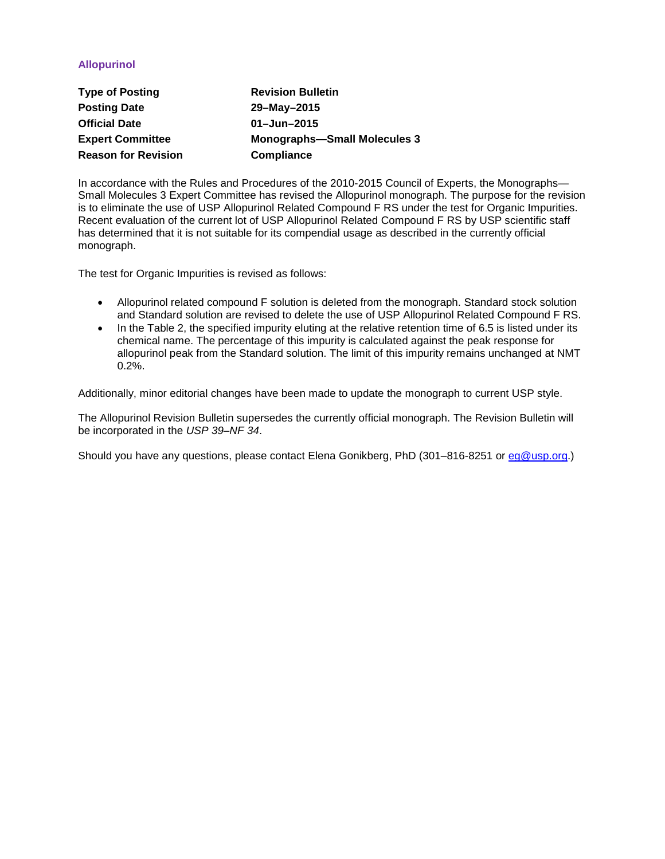# **Allopurinol**

| <b>Type of Posting</b>     | <b>Revision Bulletin</b>            |
|----------------------------|-------------------------------------|
| <b>Posting Date</b>        | 29-May-2015                         |
| <b>Official Date</b>       | $01 - Jun - 2015$                   |
| <b>Expert Committee</b>    | <b>Monographs-Small Molecules 3</b> |
| <b>Reason for Revision</b> | <b>Compliance</b>                   |

In accordance with the Rules and Procedures of the 2010-2015 Council of Experts, the Monographs— Small Molecules 3 Expert Committee has revised the Allopurinol monograph. The purpose for the revision is to eliminate the use of USP Allopurinol Related Compound F RS under the test for Organic Impurities. Recent evaluation of the current lot of USP Allopurinol Related Compound F RS by USP scientific staff has determined that it is not suitable for its compendial usage as described in the currently official monograph.

The test for Organic Impurities is revised as follows:

- Allopurinol related compound F solution is deleted from the monograph. Standard stock solution and Standard solution are revised to delete the use of USP Allopurinol Related Compound F RS.
- In the Table 2, the specified impurity eluting at the relative retention time of 6.5 is listed under its chemical name. The percentage of this impurity is calculated against the peak response for allopurinol peak from the Standard solution. The limit of this impurity remains unchanged at NMT 0.2%.

Additionally, minor editorial changes have been made to update the monograph to current USP style.

The Allopurinol Revision Bulletin supersedes the currently official monograph. The Revision Bulletin will be incorporated in the *USP 39–NF 34*.

Should you have any questions, please contact Elena Gonikberg, PhD (301–816-8251 or [eg@usp.org.](mailto:eg@usp.org))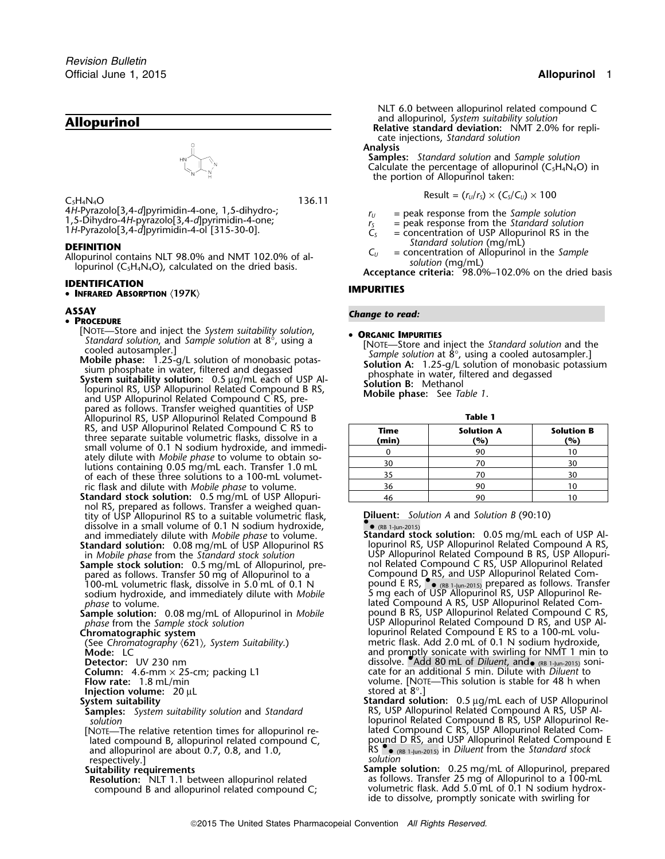4H-Pyrazolo[3,4-d]pyrimidin-4-one, 1,5-dihydro-;<br>
1,5-Dihydro-4H-pyrazolo[3,4-d]pyrimidin-4-one;<br>
1H-Pyrazolo[3,4-d]pyrimidin-4-ol [315-30-0].<br>  $\begin{aligned}\nT_y &= peak$  response from the *Standard solution*<br>  $T_s &= peak$  response from the

**DEFINITION**<br>Allopurinol contains NLT 98.0% and NMT 102.0% of al-<br>lopurinol (C<sub>5</sub>H<sub>4</sub>N<sub>4</sub>O), calculated on the dried basis.<br>lopurinol (C<sub>5</sub>H<sub>4</sub>N<sub>4</sub>O), calculated on the dried basis.<br>**Acceptance criteria:** 98.0%–102.0% on

**IDENTIFICATION IMPURITIES** • **INFRARED ABSORPTION** 〈**197K**〉

## **PROCEDURE**

- [NOTE—Store and inject the *System suitability solution*, •
- 
- pared as follows. Transfer weighed quantities of USP Allopurinol RS, USP Allopurinol Related Compound B **Table 1** RS, and USP Allopurinol Related Compound C RS to three separate suitable volumetric flasks, dissolve in a small volume of 0.1 N sodium hydroxide, and immediately dilute with *Mobile phase* to volume to obtain so-<br>lutions containing 0.05 mg/mL each. Transfer 1.0 mL of each of these three solutions to a 100-mL volumet-
- **Standard stock solution:**  $0.5$  mg/mL of USP Allopuri-  $\begin{array}{|c|c|c|c|c|}\hline & 46 & 90\hline \end{array}$ nol RS, prepared as follows. Transfer a weighed quantity of USP Allopurinol RS to a suitable volumetric flask, **Diluent:** *Solution A* and *Solution B* (90:10) dissolve in a small volume of 0.1 N sodium hydroxide, dissolve in a small volume of 0.1 N sodium hydroxide,<br>and immediately dilute with *Mobile phase* to volume. **1.1 Standard stock solution:** 0.05 mg/mL each of USP Al-

**Standard solution:** 0.08 mg/mL of USP Allopurinol RS in *Mobile phase* from the *Standard stock solution* 

**Sample stock solution:** 0.5 mg/mL of Allopurinol, pre-<br>pared as follows. Transfer 50 mg of Allopurinol to a 100-mL volumetric flask, dissolve in 5.0 mL of 0.1 N sodium hydroxide, and immediately dilute with *Mobile* <sup>5</sup> mg each of USP Allopurinol RS, USP Allopurinol Re-

- 
- 

**Injection volume:** 20 µL System suitability

and allopurinol are about 0.7, 0.8, and 1.0, respectively.]<br>**Suitability requirements** 

**Resolution:** NLT 1.1 between allopurinol related compound B and allopurinol related compound C;

NLT 6.0 between allopurinol related compound C and allopurinol, *System suitability solution* **Allopurinol Relative standard deviation:** NMT 2.0% for replicate injections, *Standard solution*

**Analysis**

**Samples:** *Standard solution* and *Sample solution* Calculate the percentage of allopurinol ( $C_5H_4N_4O$ ) in the portion of Allopurinol taken:

Result = (*<sup>r</sup>U*/*<sup>r</sup>S*) × (*CS*/*CU*) ×<sup>100</sup> <sup>C</sup>5H4N4<sup>O</sup> 136.11

- 
- 
- 
- 

## **ASSAY** *Change to read:* •

Standard solution, and Sample solution at 8°, using a<br>
cooled autosampler.]<br>
More Store and inject the Standard solution and the<br>
solution at 8°, using a cooled autosampler.]<br>
Solution at 8°, using a cooled autosampler.]<br>

| Allopumium NS, OSF Allopumium Related Compound B                                                                     |               |                          |                          |
|----------------------------------------------------------------------------------------------------------------------|---------------|--------------------------|--------------------------|
| RS, and USP Allopurinol Related Compound C RS to<br>three separate suitable volumetric flasks. dissolve in a         | Time<br>(min) | <b>Solution A</b><br>(%) | <b>Solution B</b><br>(%) |
| small volume of 0.1 N sodium hydroxide, and immedi-                                                                  |               | 90                       |                          |
| ately dilute with <i>Mobile phase</i> to volume to obtain so-<br>lutions containing 0.05 mg/mL each. Transfer 1.0 mL | 30            |                          |                          |
| of each of these three solutions to a 100-mL volumet-                                                                |               |                          |                          |
| ric flask and dilute with <i>Mobile phase</i> to volume.                                                             | 36            | 90                       |                          |
| tandard stock solution: 0.5 mg/mL of USP Allopuri-                                                                   |               |                          |                          |

- and immediately dilute with *Mobile phase* to volume. **Standard stock solution:** 0.05 mg/mL each of USP Al-USP Allopurinol Related Compound B RS, USP Allopuri-<br>nol Related Compound C RS, USP Allopurinol Related pared as following a Compound D RS, and USP Allopurinol Related Compound E RS,  $\bullet$  (RB 1-Jun-2015) prepared as follows Transfer (RB 1-Jun-2015) prepared as follows. Transfer sodium hydroxide, and immediately dilute with *Mobile* **by** and interest of USP Allopurinol RS, USP Allopurinol Re-<br>- lated Compound A RS, USP Allopurinol Related Com-<br>**Sample solution:** 0.08 mg/mL of Allopurinol in *Mobil* **Sample solution:** 0.08 mg/mL of Allopurinol in *Mobile* pound B RS, USP Allopurinol Related Compound C RS, *phase* from the *Sample stock solution* USP Allopurinol Related Compound D RS, and USP Al-*Phase* from the *Sample stock solution*<br> **Chromatographic system**<br>
(See Chromatography (621), System Suitability.) **Chromatography (621), System Suitability.**<br> **Chromatography (621), System Suitability. Compound Related** (See *Chromatography* 〈621〉*, System Suitability*.) metric flask. Add 2.0 mL of 0.1 N sodium hydroxide, **Mode:** LC and promptly sonicate with swirling for NMT 1 min to and promptly sonicate with swirling for NMT 1 min to and promptly sonicate with swirling for NMT 1 min to and **Detector:** UV 230 nm **Column:** 4.6-mm × 25-cm; packing L1 cate for an additional 5 min. Dilute with *Diluent* to **Folumn:** 4.6-mm × 25-cm; packing L1 cate for an additional 5 min. Dilute with *Diluent* to<br> **Flow rate:** 1.8 mL/min volume. Interval at 8°.<br>
Iniection volume: 20 uL<br>
Iniection volume: 20 uL
- **System suitability Standard solution:** 0.5 <sup>µ</sup>g/mL each of USP Allopurinol **Samples:** *System suitability solution* and *Standard* RS, USP Allopurinol Related Compound A RS, USP Al*solution* lopurinol Related Compound B RS, USP Allopurinol Re- [NOTE—The relative retention times for allopurinol re- lated Compound C RS, USP Allopurinol Related Comlated compound B, allopurinol related compound C, external D RS, and USP Allopurinol Related Compound E<br>and allopurinol are about 0.7, 0.8, and 1.0, external RS Pe (RB 1-Jun-2015) in *Diluent* from the *Standard stock* 
	- **Sample solution:** 0.25 mg/mL of Allopurinol, prepared as follows. Transfer 25 mg of Allopurinol to a 100-mL volumetric flask. Add 5.0 mL of 0.1 N sodium hydroxide to dissolve, promptly sonicate with swirling for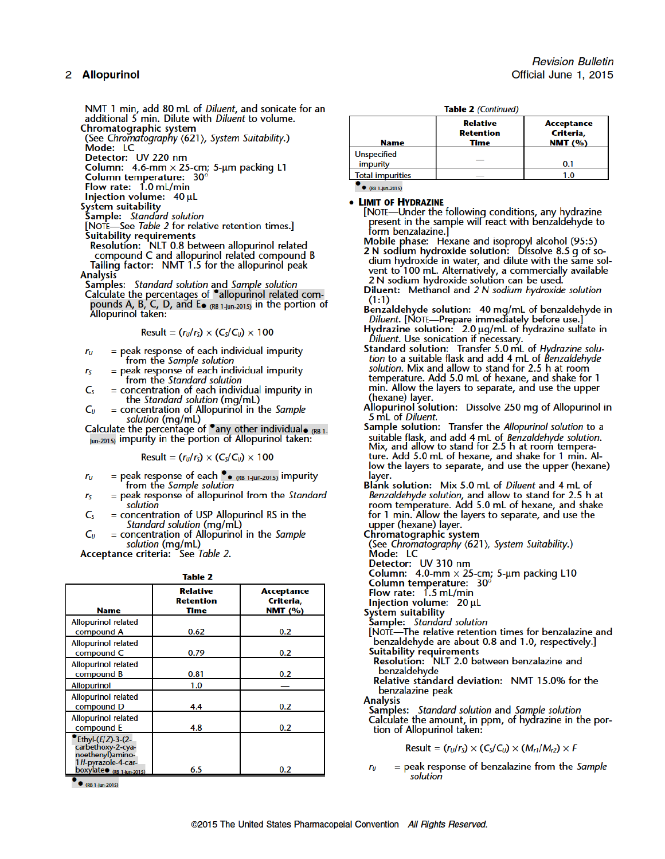## 2 Allopurinol

NMT 1 min, add 80 mL of Diluent, and sonicate for an additional 5 min. Dilute with Diluent to volume. Chromatographic system

(See Chromatography (621), System Suitability.) Mode: LC

Detector: UV 220 nm

Column: 4.6-mm  $\times$  25-cm; 5-µm packing L1<br>Column temperature:  $30^\circ$ 

Flow rate: 1.0 mL/min

Injection volume: 40 µL

System suitability

Sample: Standard solution<br>Sample: Standard solution<br>[NOTE—See Table 2 for relative retention times.]

Suitability requirements<br>Resolution: NLT 0.8 between allopurinol related compound C and allopurinol related compound B Tailing factor: NMT 1.5 for the allopurinol peak **Analysis** 

**Samples:** *Standard solution* and *Sample solution*<br>Calculate the percentages of  $\bullet$  allopurinol related compounds A, B, C, D, and  $E_{\bullet}$  (RB 1-Jun-2015) in the portion of Allopurinol taken:

$$
Result = (rU/rS) \times (CS/CU) \times 100
$$

- $=$  peak response of each individual impurity  $r_{U}$ from the Sample solution
- = peak response of each individual impurity  $r<sub>S</sub>$ from the Standard solution
- = concentration of each individual impurity in<br>the *Standard solution* (mg/mL)  $C_{S}$
- $C_U$ = concentration of Allopurinol in the Sample solution (mg/mL)

Calculate the percentage of  $\bullet$  any other individual  $\bullet$  (RB 1. Jun-2015) impurity in the portion of Allopurinol taken:

Result =  $(r_U/r_S) \times (C_S/C_U) \times 100$ 

- = peak response of each  $\bullet$  (RB 1-Jun-2015) impurity<br>from the Sample solution  $r_{\rm H}$
- $r<sub>S</sub>$  $=$  peak response of allopurinol from the Standard solution
- = concentration of USP Allopurinol RS in the  $C_{S}$ Standard solution (mg/mL)

 $=$  concentration of Allopurinol in the Sample  $C_{U}$ solution (mg/mL)

Acceptance criteria: See Table 2.

| I |         |     |  |
|---|---------|-----|--|
|   | ------- | ___ |  |

| <b>Name</b>                                                                                                      | <b>Relative</b><br><b>Retention</b><br>Time | <b>Acceptance</b><br>Criteria,<br>NMT $(%)$ |
|------------------------------------------------------------------------------------------------------------------|---------------------------------------------|---------------------------------------------|
| <b>Allopurinol related</b><br>compound A                                                                         | 0.62                                        | 0.2                                         |
| <b>Allopurinol related</b><br>compound C                                                                         | 0.79                                        | 0.2                                         |
| <b>Allopurinol related</b><br>compound B                                                                         | 0.81                                        | 0.2                                         |
| <b>Allopurinol</b>                                                                                               | 1.0                                         |                                             |
| <b>Allopurinol related</b><br>compound D                                                                         | 4.4                                         | 0.2                                         |
| <b>Allopurinol related</b><br>compound E                                                                         | 4.8                                         | 0.2                                         |
| Ethyl-(E/Z)-3-(2-<br>carbethoxy-2-cya-<br>noethenyl)amino-<br>1H-pyrazole-4-car-<br>boxylate $_{(RB1-lun-2015)}$ | 6.5                                         | 0.2                                         |

•  $(RB 1-jun-2015)$ 

Table 2 (Continued)

| <b>Name</b>                    | <b>Relative</b><br><b>Retention</b><br>Time | Acceptance<br>Criteria,<br>NMT $(%)$ |
|--------------------------------|---------------------------------------------|--------------------------------------|
| <b>Unspecified</b><br>impurity |                                             | 0.1                                  |
| <b>Total impurities</b>        |                                             | 1.0                                  |

•  $(RB 1-|un.2015)$ 

## • LIMIT OF HYDRAZINE

[NOTE—Under the following conditions, any hydrazine present in the sample will react with benzaldehyde to form benzalazine.]

Mobile phase: Hexane and isopropyl alcohol (95:5)<br>2 N sodium hydroxide solution: Dissolve 8.5 g of sodium hydroxide in water, and dilute with the same solvent to 100 mL. Alternatively, a commercially available

2 N sodium hydroxide solution can be used.

Diluent: Methanol and 2 N sodium hydroxide solution  $(1:1)$ 

- Benzaldehyde solution: 40 mg/mL of benzaldehyde in Diluent. [NOTE-Prepare immediately before use.]
- Hydrazine solution:  $2.0 \mu g/mL$  of hydrazine sulfate in Diluent. Use sonication if necessary.<br>Standard solution: Transfer 5.0 mL of Hydrazine solu-
- tion to a suitable flask and add 4 mL of Benzaldehyde solution. Mix and allow to stand for 2.5 h at room temperature. Add 5.0 mL of hexane, and shake for 1 min. Allow the layers to separate, and use the upper (hexane) layer.
- Allopurinol solution: Dissolve 250 mg of Allopurinol in 5 mL of Diluent.
- Sample solution: Transfer the Allopurinol solution to a suitable flask, and add 4 mL of Benzaldehyde solution.<br>Mix, and allow to stand for 2.5 h at room temperature. Add 5.0 mL of hexane, and shake for 1 min. Allow the layers to separate, and use the upper (hexane) layer.
- Blank solution: Mix 5.0 mL of Diluent and 4 mL of Benzaldehyde solution, and allow to stand for 2.5 h at room temperature. Add 5.0 mL of hexane, and shake for 1 min. Allow the layers to separate, and use the upper (hexane) layer.

Chromatographic system

(See Chromatography <621), System Suitability.) Mode: LC

Detector: UV 310 nm

Column: 4.0-mm × 25-cm; 5-μm packing L10<br>Column temperature: 30°

- Flow rate: 1.5 mL/min
- Injection volume: 20 µL

**System suitability** 

Sample: Standard solution

- [NOTE-The relative retention times for benzalazine and benzaldehyde are about 0.8 and 1.0, respectively.] **Suitability requirements**
- Resolution: NLT 2.0 between benzalazine and benzaldehvde
- Relative standard deviation: NMT 15.0% for the benzalazine peak

**Analysis** 

Samples: Standard solution and Sample solution Calculate the amount, in ppm, of hydrazine in the portion of Allopurinol taken:

$$
Result = (rU/rS) \times (CS/CU) \times (Mr1/Mr2) \times F
$$

 $=$  peak response of benzalazine from the Sample  $r<sub>U</sub>$ solution